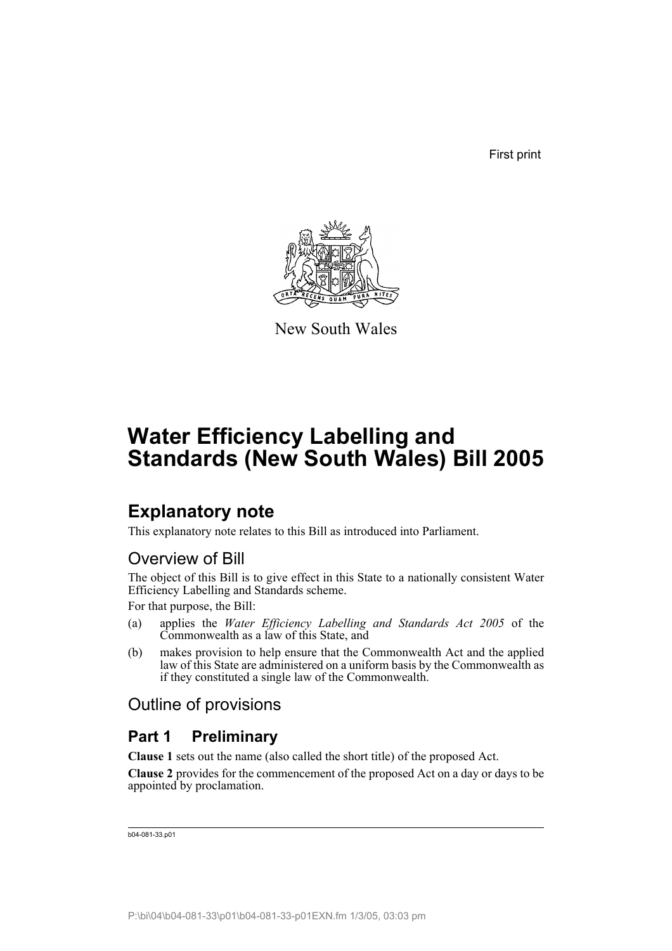First print



New South Wales

# **Water Efficiency Labelling and Standards (New South Wales) Bill 2005**

## **Explanatory note**

This explanatory note relates to this Bill as introduced into Parliament.

## Overview of Bill

The object of this Bill is to give effect in this State to a nationally consistent Water Efficiency Labelling and Standards scheme.

For that purpose, the Bill:

- (a) applies the *Water Efficiency Labelling and Standards Act 2005* of the Commonwealth as a law of this State, and
- (b) makes provision to help ensure that the Commonwealth Act and the applied law of this State are administered on a uniform basis by the Commonwealth as if they constituted a single law of the Commonwealth.

## Outline of provisions

## **Part 1 Preliminary**

**Clause 1** sets out the name (also called the short title) of the proposed Act.

**Clause 2** provides for the commencement of the proposed Act on a day or days to be appointed by proclamation.

```
b04-081-33.p01
```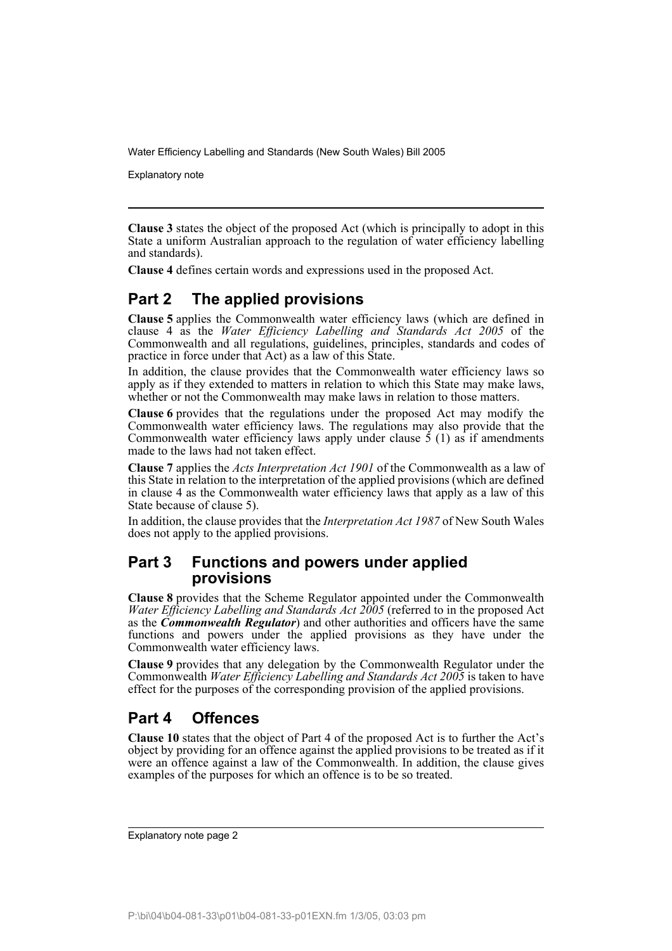Explanatory note

**Clause 3** states the object of the proposed Act (which is principally to adopt in this State a uniform Australian approach to the regulation of water efficiency labelling and standards).

**Clause 4** defines certain words and expressions used in the proposed Act.

## **Part 2 The applied provisions**

**Clause 5** applies the Commonwealth water efficiency laws (which are defined in clause 4 as the *Water Efficiency Labelling and Standards Act 2005* of the Commonwealth and all regulations, guidelines, principles, standards and codes of practice in force under that Act) as a law of this State.

In addition, the clause provides that the Commonwealth water efficiency laws so apply as if they extended to matters in relation to which this State may make laws, whether or not the Commonwealth may make laws in relation to those matters.

**Clause 6** provides that the regulations under the proposed Act may modify the Commonwealth water efficiency laws. The regulations may also provide that the Commonwealth water efficiency laws apply under clause  $\tilde{5}$  (1) as if amendments made to the laws had not taken effect.

**Clause 7** applies the *Acts Interpretation Act 1901* of the Commonwealth as a law of this State in relation to the interpretation of the applied provisions (which are defined in clause 4 as the Commonwealth water efficiency laws that apply as a law of this State because of clause 5).

In addition, the clause provides that the *Interpretation Act 1987* of New South Wales does not apply to the applied provisions.

### **Part 3 Functions and powers under applied provisions**

**Clause 8** provides that the Scheme Regulator appointed under the Commonwealth *Water Efficiency Labelling and Standards Act 2005* (referred to in the proposed Act as the *Commonwealth Regulator*) and other authorities and officers have the same functions and powers under the applied provisions as they have under the Commonwealth water efficiency laws.

**Clause 9** provides that any delegation by the Commonwealth Regulator under the Commonwealth *Water Efficiency Labelling and Standards Act 2005* is taken to have effect for the purposes of the corresponding provision of the applied provisions.

## **Part 4 Offences**

**Clause 10** states that the object of Part 4 of the proposed Act is to further the Act's object by providing for an offence against the applied provisions to be treated as if it were an offence against a law of the Commonwealth. In addition, the clause gives examples of the purposes for which an offence is to be so treated.

Explanatory note page 2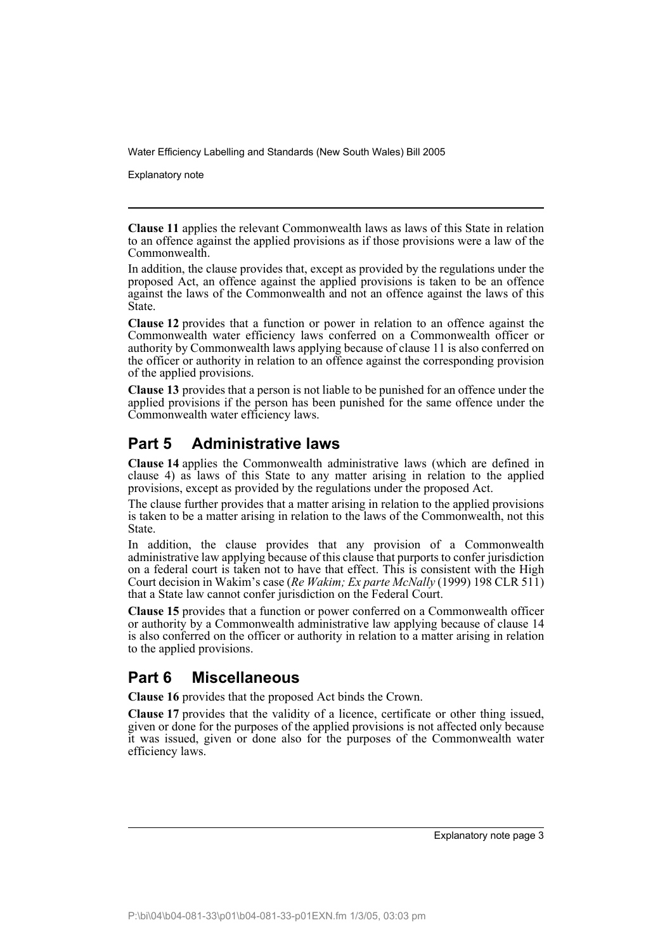Explanatory note

**Clause 11** applies the relevant Commonwealth laws as laws of this State in relation to an offence against the applied provisions as if those provisions were a law of the Commonwealth.

In addition, the clause provides that, except as provided by the regulations under the proposed Act, an offence against the applied provisions is taken to be an offence against the laws of the Commonwealth and not an offence against the laws of this State.

**Clause 12** provides that a function or power in relation to an offence against the Commonwealth water efficiency laws conferred on a Commonwealth officer or authority by Commonwealth laws applying because of clause 11 is also conferred on the officer or authority in relation to an offence against the corresponding provision of the applied provisions.

**Clause 13** provides that a person is not liable to be punished for an offence under the applied provisions if the person has been punished for the same offence under the Commonwealth water efficiency laws.

## **Part 5 Administrative laws**

**Clause 14** applies the Commonwealth administrative laws (which are defined in clause 4) as laws of this State to any matter arising in relation to the applied provisions, except as provided by the regulations under the proposed Act.

The clause further provides that a matter arising in relation to the applied provisions is taken to be a matter arising in relation to the laws of the Commonwealth, not this State.

In addition, the clause provides that any provision of a Commonwealth administrative law applying because of this clause that purports to confer jurisdiction on a federal court is taken not to have that effect. This is consistent with the High Court decision in Wakim's case (*Re Wakim; Ex parte McNally* (1999) 198 CLR 511) that a State law cannot confer jurisdiction on the Federal Court.

**Clause 15** provides that a function or power conferred on a Commonwealth officer or authority by a Commonwealth administrative law applying because of clause 14 is also conferred on the officer or authority in relation to a matter arising in relation to the applied provisions.

## **Part 6 Miscellaneous**

**Clause 16** provides that the proposed Act binds the Crown.

**Clause 17** provides that the validity of a licence, certificate or other thing issued, given or done for the purposes of the applied provisions is not affected only because it was issued, given or done also for the purposes of the Commonwealth water efficiency laws.

Explanatory note page 3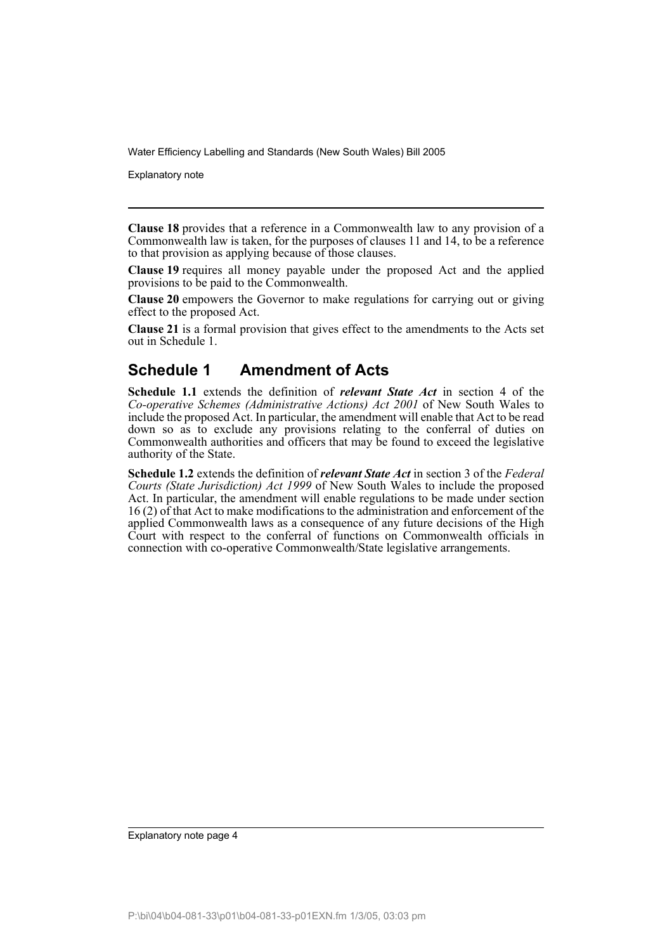Explanatory note

**Clause 18** provides that a reference in a Commonwealth law to any provision of a Commonwealth law is taken, for the purposes of clauses 11 and 14, to be a reference to that provision as applying because of those clauses.

**Clause 19** requires all money payable under the proposed Act and the applied provisions to be paid to the Commonwealth.

**Clause 20** empowers the Governor to make regulations for carrying out or giving effect to the proposed Act.

**Clause 21** is a formal provision that gives effect to the amendments to the Acts set out in Schedule 1.

## **Schedule 1 Amendment of Acts**

**Schedule 1.1** extends the definition of *relevant State Act* in section 4 of the *Co-operative Schemes (Administrative Actions) Act 2001* of New South Wales to include the proposed Act. In particular, the amendment will enable that Act to be read down so as to exclude any provisions relating to the conferral of duties on Commonwealth authorities and officers that may be found to exceed the legislative authority of the State.

**Schedule 1.2** extends the definition of *relevant State Act* in section 3 of the *Federal Courts (State Jurisdiction) Act 1999* of New South Wales to include the proposed Act. In particular, the amendment will enable regulations to be made under section 16 (2) of that Act to make modifications to the administration and enforcement of the applied Commonwealth laws as a consequence of any future decisions of the High Court with respect to the conferral of functions on Commonwealth officials in connection with co-operative Commonwealth/State legislative arrangements.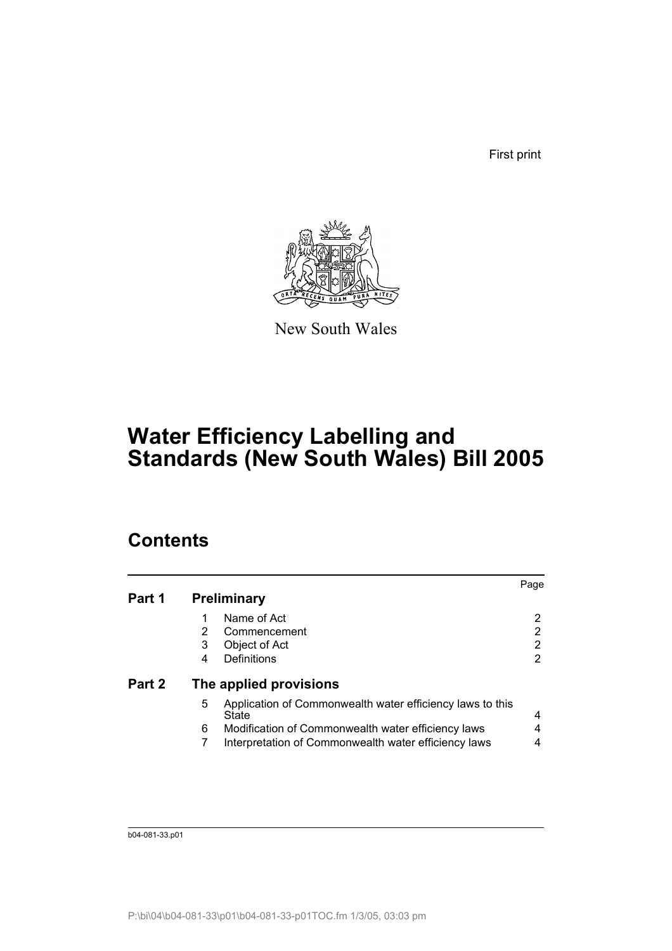First print



New South Wales

# **Water Efficiency Labelling and Standards (New South Wales) Bill 2005**

## **Contents**

|        |   |                                                                    | Page |
|--------|---|--------------------------------------------------------------------|------|
| Part 1 |   | <b>Preliminary</b>                                                 |      |
|        | 1 | Name of Act                                                        | 2    |
|        | 2 | Commencement                                                       | 2    |
|        | 3 | Object of Act                                                      | 2    |
|        | 4 | Definitions                                                        |      |
| Part 2 |   | The applied provisions                                             |      |
|        | 5 | Application of Commonwealth water efficiency laws to this<br>State | 4    |
|        | 6 | Modification of Commonwealth water efficiency laws                 | 4    |
|        |   | Interpretation of Commonwealth water efficiency laws               |      |
|        |   |                                                                    |      |

b04-081-33.p01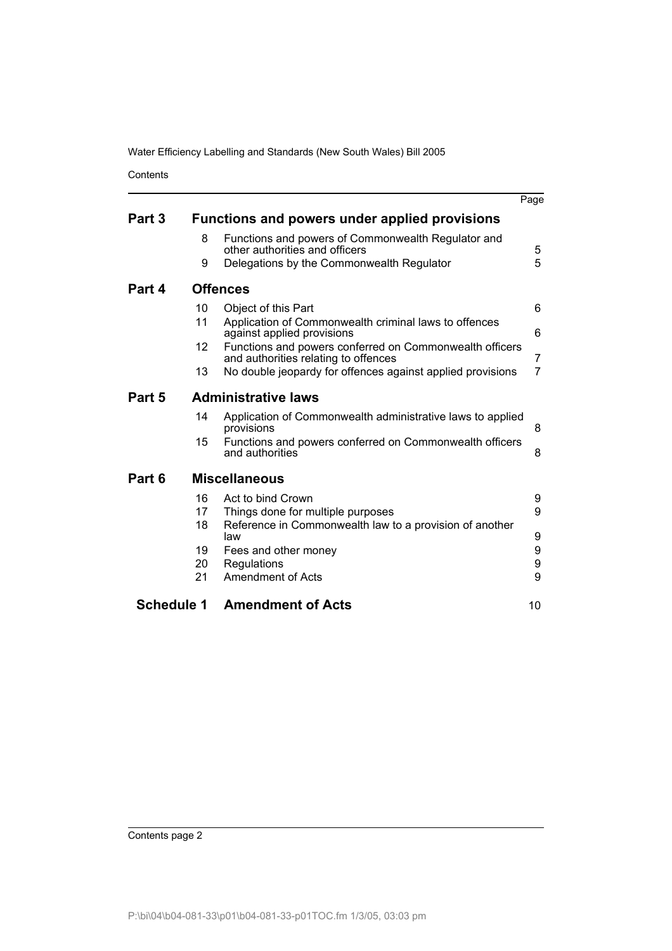**Contents** 

|                   |    |                                                                                                 | Page |
|-------------------|----|-------------------------------------------------------------------------------------------------|------|
| Part 3            |    | Functions and powers under applied provisions                                                   |      |
|                   | 8  | Functions and powers of Commonwealth Regulator and<br>other authorities and officers            | 5    |
|                   | 9  | Delegations by the Commonwealth Regulator                                                       | 5    |
| Part 4            |    | <b>Offences</b>                                                                                 |      |
|                   | 10 | Object of this Part                                                                             | 6    |
|                   | 11 | Application of Commonwealth criminal laws to offences<br>against applied provisions             | 6    |
|                   | 12 | Functions and powers conferred on Commonwealth officers<br>and authorities relating to offences | 7    |
|                   | 13 | No double jeopardy for offences against applied provisions                                      | 7    |
| Part 5            |    | <b>Administrative laws</b>                                                                      |      |
|                   | 14 | Application of Commonwealth administrative laws to applied<br>provisions                        | 8    |
|                   | 15 | Functions and powers conferred on Commonwealth officers<br>and authorities                      | 8    |
| Part 6            |    | <b>Miscellaneous</b>                                                                            |      |
|                   | 16 | Act to bind Crown                                                                               | 9    |
|                   | 17 | Things done for multiple purposes                                                               | 9    |
|                   | 18 | Reference in Commonwealth law to a provision of another<br>law                                  | 9    |
|                   | 19 | Fees and other money                                                                            | 9    |
|                   | 20 | Regulations                                                                                     | 9    |
|                   | 21 | <b>Amendment of Acts</b>                                                                        | 9    |
| <b>Schedule 1</b> |    | <b>Amendment of Acts</b>                                                                        | 10   |
|                   |    |                                                                                                 |      |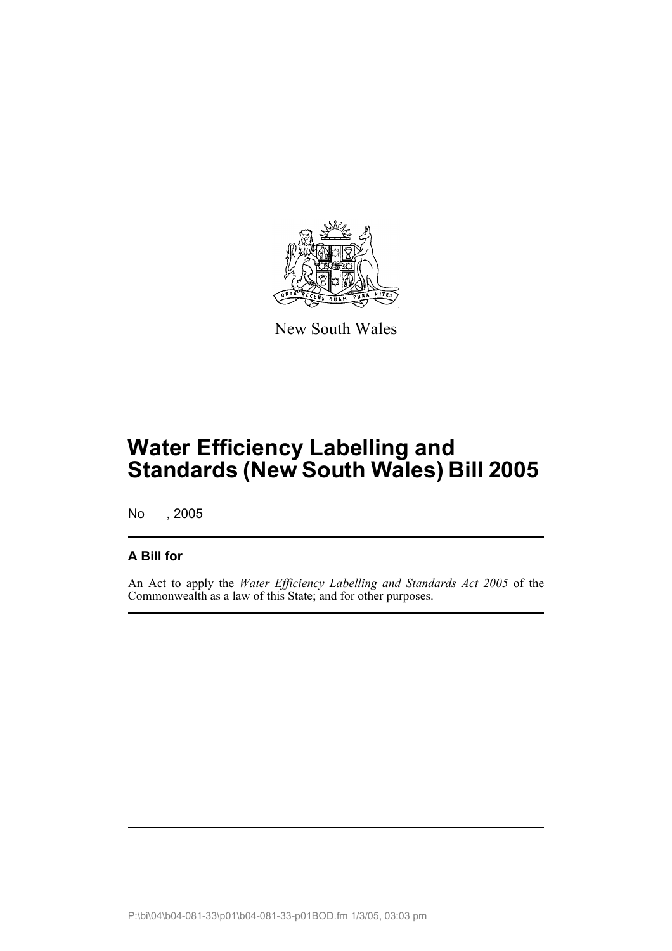

New South Wales

# **Water Efficiency Labelling and Standards (New South Wales) Bill 2005**

No , 2005

## **A Bill for**

An Act to apply the *Water Efficiency Labelling and Standards Act 2005* of the Commonwealth as a law of this State; and for other purposes.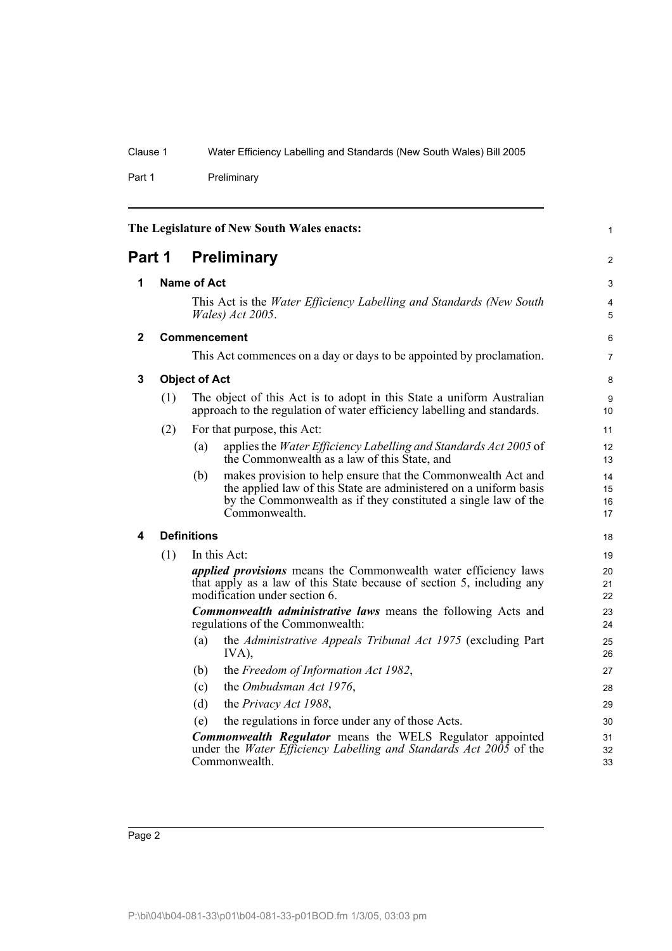Part 1 Preliminary

<span id="page-7-4"></span><span id="page-7-3"></span><span id="page-7-2"></span><span id="page-7-1"></span><span id="page-7-0"></span>

|              |                                                                                                                                                                                                                                                                                       | The Legislature of New South Wales enacts:                                                                                                                                                                                  | 1                    |
|--------------|---------------------------------------------------------------------------------------------------------------------------------------------------------------------------------------------------------------------------------------------------------------------------------------|-----------------------------------------------------------------------------------------------------------------------------------------------------------------------------------------------------------------------------|----------------------|
| Part 1       |                                                                                                                                                                                                                                                                                       | <b>Preliminary</b>                                                                                                                                                                                                          |                      |
| 1            |                                                                                                                                                                                                                                                                                       | <b>Name of Act</b><br>This Act is the Water Efficiency Labelling and Standards (New South<br>Wales) Act 2005.                                                                                                               | 3<br>4<br>5          |
| $\mathbf{2}$ |                                                                                                                                                                                                                                                                                       | <b>Commencement</b>                                                                                                                                                                                                         | 6                    |
|              |                                                                                                                                                                                                                                                                                       | This Act commences on a day or days to be appointed by proclamation.                                                                                                                                                        | 7                    |
| 3            | <b>Object of Act</b>                                                                                                                                                                                                                                                                  |                                                                                                                                                                                                                             | 8                    |
|              | (1)                                                                                                                                                                                                                                                                                   | The object of this Act is to adopt in this State a uniform Australian<br>approach to the regulation of water efficiency labelling and standards.                                                                            | 9<br>10              |
|              | (2)                                                                                                                                                                                                                                                                                   | For that purpose, this Act:                                                                                                                                                                                                 | 11                   |
|              |                                                                                                                                                                                                                                                                                       | applies the Water Efficiency Labelling and Standards Act 2005 of<br>(a)<br>the Commonwealth as a law of this State, and                                                                                                     | 12<br>13             |
|              |                                                                                                                                                                                                                                                                                       | makes provision to help ensure that the Commonwealth Act and<br>(b)<br>the applied law of this State are administered on a uniform basis<br>by the Commonwealth as if they constituted a single law of the<br>Commonwealth. | 14<br>15<br>16<br>17 |
| 4            |                                                                                                                                                                                                                                                                                       | <b>Definitions</b>                                                                                                                                                                                                          | 18                   |
|              | (1)                                                                                                                                                                                                                                                                                   | In this Act:                                                                                                                                                                                                                | 19                   |
|              | <i>applied provisions</i> means the Commonwealth water efficiency laws<br>that apply as a law of this State because of section 5, including any<br>modification under section 6.<br>Commonwealth administrative laws means the following Acts and<br>regulations of the Commonwealth: |                                                                                                                                                                                                                             | 20<br>21<br>22       |
|              |                                                                                                                                                                                                                                                                                       |                                                                                                                                                                                                                             | 23<br>24             |
|              |                                                                                                                                                                                                                                                                                       | the Administrative Appeals Tribunal Act 1975 (excluding Part<br>(a)<br>IVA),                                                                                                                                                | 25<br>26             |
|              |                                                                                                                                                                                                                                                                                       | the Freedom of Information Act 1982,<br>(b)                                                                                                                                                                                 | 27                   |
|              |                                                                                                                                                                                                                                                                                       | the Ombudsman Act 1976,<br>(c)                                                                                                                                                                                              | 28                   |
|              |                                                                                                                                                                                                                                                                                       | (d)<br>the Privacy Act 1988,                                                                                                                                                                                                | 29                   |
|              |                                                                                                                                                                                                                                                                                       | the regulations in force under any of those Acts.<br>(e)                                                                                                                                                                    | 30                   |
|              |                                                                                                                                                                                                                                                                                       | <b>Commonwealth Regulator</b> means the WELS Regulator appointed<br>under the <i>Water Efficiency Labelling and Standards Act 2005</i> of the<br>Commonwealth.                                                              | 31<br>32<br>33       |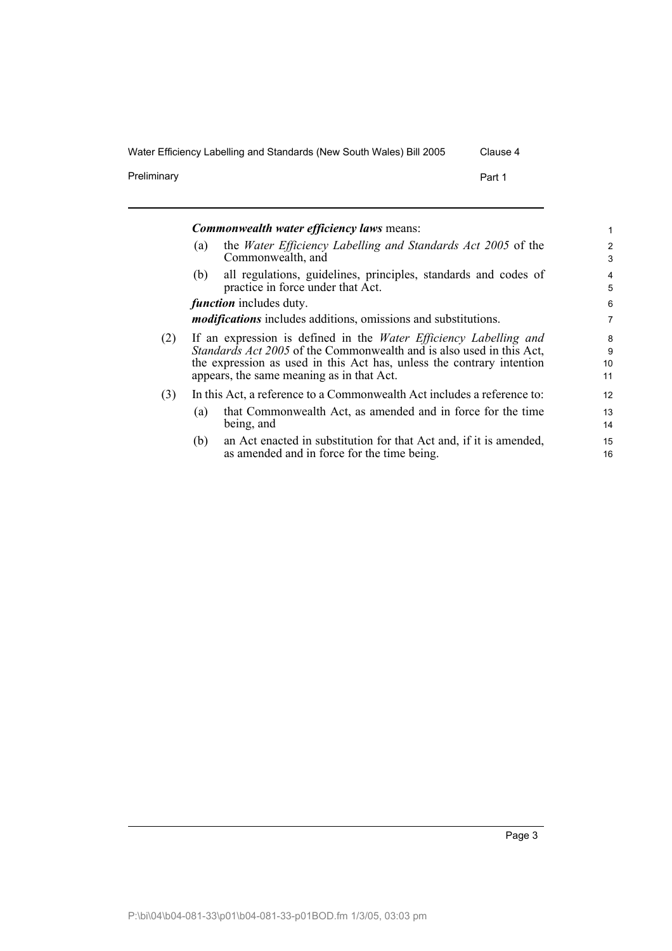Preliminary **Preliminary Part 1** 

|     | <b>Commonwealth water efficiency laws means:</b>                                                                                                                                                                                                                       |  | 1                  |
|-----|------------------------------------------------------------------------------------------------------------------------------------------------------------------------------------------------------------------------------------------------------------------------|--|--------------------|
|     | the Water Efficiency Labelling and Standards Act 2005 of the<br>(a)<br>Commonwealth, and                                                                                                                                                                               |  | 2<br>3             |
|     | all regulations, guidelines, principles, standards and codes of<br>(b)<br>practice in force under that Act.                                                                                                                                                            |  | 4<br>5             |
|     | <i>function</i> includes duty.                                                                                                                                                                                                                                         |  | 6                  |
|     | <i>modifications</i> includes additions, omissions and substitutions.                                                                                                                                                                                                  |  | 7                  |
| (2) | If an expression is defined in the <i>Water Efficiency Labelling and</i><br>Standards Act 2005 of the Commonwealth and is also used in this Act,<br>the expression as used in this Act has, unless the contrary intention<br>appears, the same meaning as in that Act. |  | 8<br>9<br>10<br>11 |
| (3) | In this Act, a reference to a Commonwealth Act includes a reference to:                                                                                                                                                                                                |  | 12                 |
|     | that Commonwealth Act, as amended and in force for the time<br>(a)<br>being, and                                                                                                                                                                                       |  | 13<br>14           |
|     | an Act enacted in substitution for that Act and, if it is amended,<br>(b)<br>as amended and in force for the time being.                                                                                                                                               |  | 15<br>16           |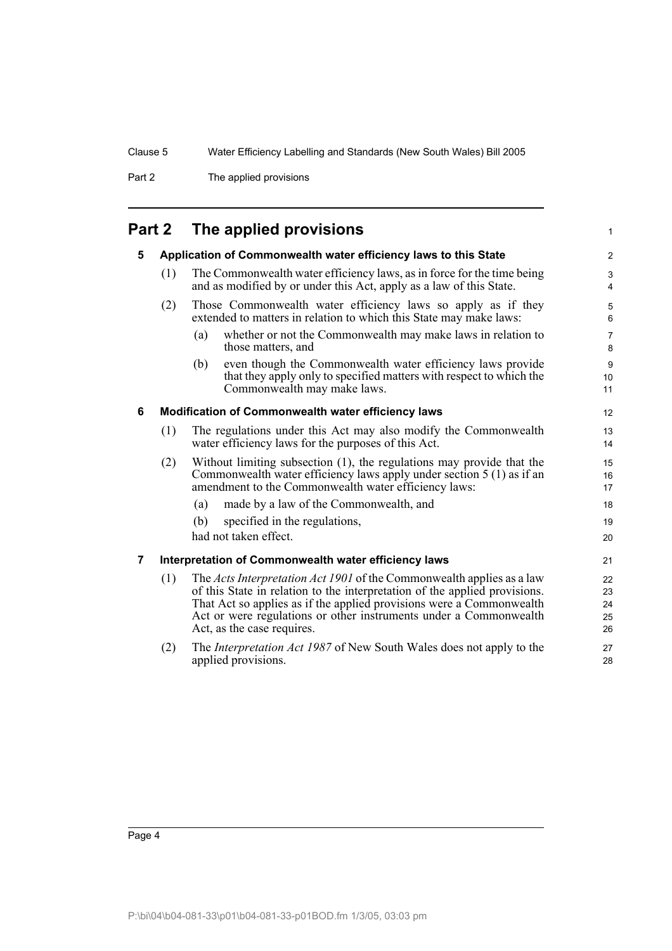Part 2 The applied provisions

## <span id="page-9-0"></span>**Part 2 The applied provisions**

<span id="page-9-3"></span><span id="page-9-2"></span><span id="page-9-1"></span>

| Application of Commonwealth water efficiency laws to this State |                                                                                                                                                                                                                                                                                                                                |                                                                                                                                     |
|-----------------------------------------------------------------|--------------------------------------------------------------------------------------------------------------------------------------------------------------------------------------------------------------------------------------------------------------------------------------------------------------------------------|-------------------------------------------------------------------------------------------------------------------------------------|
| (1)                                                             | The Commonwealth water efficiency laws, as in force for the time being<br>and as modified by or under this Act, apply as a law of this State.                                                                                                                                                                                  |                                                                                                                                     |
| (2)                                                             | Those Commonwealth water efficiency laws so apply as if they<br>extended to matters in relation to which this State may make laws:                                                                                                                                                                                             |                                                                                                                                     |
|                                                                 | whether or not the Commonwealth may make laws in relation to<br>(a)<br>those matters, and                                                                                                                                                                                                                                      | $\overline{7}$<br>8                                                                                                                 |
|                                                                 | even though the Commonwealth water efficiency laws provide<br>(b)<br>that they apply only to specified matters with respect to which the<br>Commonwealth may make laws.                                                                                                                                                        | 9<br>10<br>11                                                                                                                       |
|                                                                 |                                                                                                                                                                                                                                                                                                                                | 12                                                                                                                                  |
| (1)                                                             | The regulations under this Act may also modify the Commonwealth<br>water efficiency laws for the purposes of this Act.                                                                                                                                                                                                         |                                                                                                                                     |
| (2)                                                             | Without limiting subsection (1), the regulations may provide that the<br>Commonwealth water efficiency laws apply under section 5 (1) as if an<br>amendment to the Commonwealth water efficiency laws:                                                                                                                         |                                                                                                                                     |
|                                                                 | made by a law of the Commonwealth, and<br>(a)                                                                                                                                                                                                                                                                                  | 18                                                                                                                                  |
|                                                                 | specified in the regulations,<br>(b)                                                                                                                                                                                                                                                                                           | 19                                                                                                                                  |
|                                                                 |                                                                                                                                                                                                                                                                                                                                | 20                                                                                                                                  |
|                                                                 |                                                                                                                                                                                                                                                                                                                                | 21                                                                                                                                  |
| (1)                                                             | The Acts Interpretation Act 1901 of the Commonwealth applies as a law<br>of this State in relation to the interpretation of the applied provisions.<br>That Act so applies as if the applied provisions were a Commonwealth<br>Act or were regulations or other instruments under a Commonwealth<br>Act, as the case requires. | 22<br>23<br>24<br>25<br>26                                                                                                          |
| (2)                                                             | The <i>Interpretation Act 1987</i> of New South Wales does not apply to the<br>applied provisions.                                                                                                                                                                                                                             | 27<br>28                                                                                                                            |
|                                                                 |                                                                                                                                                                                                                                                                                                                                | Modification of Commonwealth water efficiency laws<br>had not taken effect.<br>Interpretation of Commonwealth water efficiency laws |

1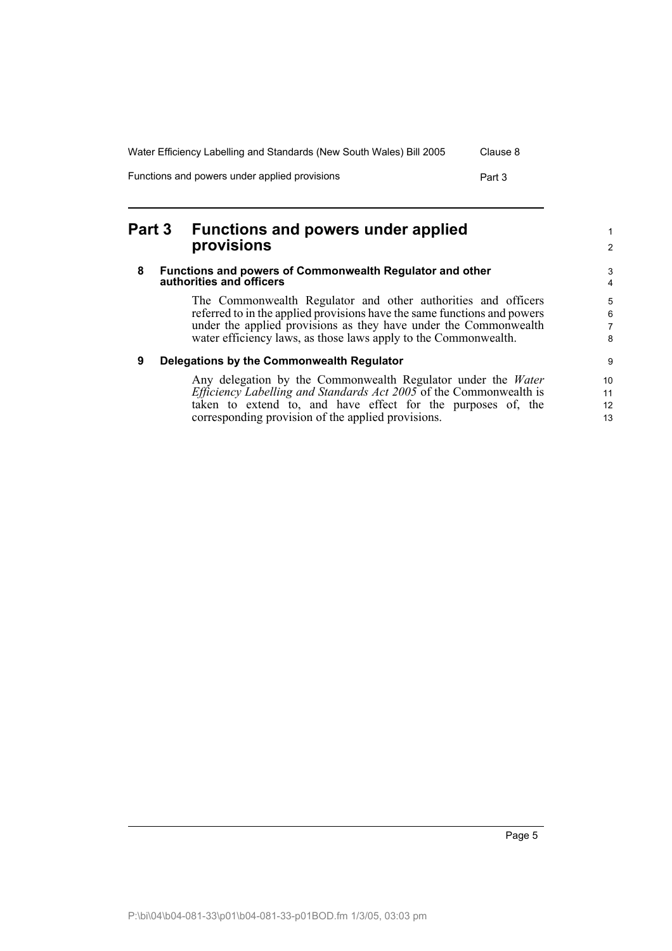| Water Efficiency Labelling and Standards (New South Wales) Bill 2005 | Clause 8 |
|----------------------------------------------------------------------|----------|
| Functions and powers under applied provisions                        | Part 3   |

## <span id="page-10-0"></span>**Part 3 Functions and powers under applied provisions**

#### <span id="page-10-1"></span>**8 Functions and powers of Commonwealth Regulator and other authorities and officers**

The Commonwealth Regulator and other authorities and officers referred to in the applied provisions have the same functions and powers under the applied provisions as they have under the Commonwealth water efficiency laws, as those laws apply to the Commonwealth.

### <span id="page-10-2"></span>**9 Delegations by the Commonwealth Regulator**

Any delegation by the Commonwealth Regulator under the *Water Efficiency Labelling and Standards Act 2005* of the Commonwealth is taken to extend to, and have effect for the purposes of, the corresponding provision of the applied provisions.

1 2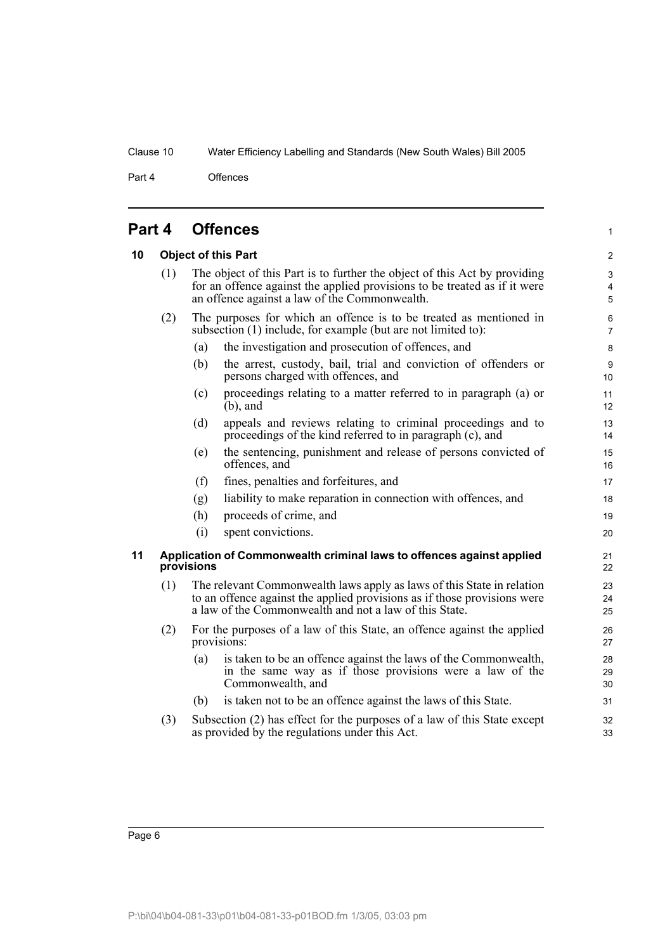Part 4 Offences

<span id="page-11-2"></span><span id="page-11-1"></span><span id="page-11-0"></span>

| Part 4 |                                                                                     | <b>Offences</b>                                                                                                                                                                                              |                                                                                                                                                  | $\mathbf{1}$                          |
|--------|-------------------------------------------------------------------------------------|--------------------------------------------------------------------------------------------------------------------------------------------------------------------------------------------------------------|--------------------------------------------------------------------------------------------------------------------------------------------------|---------------------------------------|
| 10     | <b>Object of this Part</b>                                                          |                                                                                                                                                                                                              |                                                                                                                                                  | $\overline{2}$                        |
|        | (1)                                                                                 | The object of this Part is to further the object of this Act by providing<br>for an offence against the applied provisions to be treated as if it were<br>an offence against a law of the Commonwealth.      |                                                                                                                                                  | 3<br>$\overline{4}$<br>$\overline{5}$ |
|        | (2)                                                                                 | The purposes for which an offence is to be treated as mentioned in<br>subsection (1) include, for example (but are not limited to):                                                                          |                                                                                                                                                  | 6<br>$\overline{7}$                   |
|        |                                                                                     | (a)                                                                                                                                                                                                          | the investigation and prosecution of offences, and                                                                                               | 8                                     |
|        |                                                                                     | (b)                                                                                                                                                                                                          | the arrest, custody, bail, trial and conviction of offenders or<br>persons charged with offences, and                                            | 9<br>10 <sup>1</sup>                  |
|        |                                                                                     | (c)                                                                                                                                                                                                          | proceedings relating to a matter referred to in paragraph (a) or<br>$(b)$ , and                                                                  | 11<br>12                              |
|        |                                                                                     | (d)                                                                                                                                                                                                          | appeals and reviews relating to criminal proceedings and to<br>proceedings of the kind referred to in paragraph (c), and                         | 13<br>14                              |
|        |                                                                                     | (e)                                                                                                                                                                                                          | the sentencing, punishment and release of persons convicted of<br>offences, and                                                                  | 15<br>16                              |
|        |                                                                                     | (f)                                                                                                                                                                                                          | fines, penalties and forfeitures, and                                                                                                            | 17                                    |
|        |                                                                                     | (g)                                                                                                                                                                                                          | liability to make reparation in connection with offences, and                                                                                    | 18                                    |
|        |                                                                                     | (h)                                                                                                                                                                                                          | proceeds of crime, and                                                                                                                           | 19                                    |
|        |                                                                                     | (i)                                                                                                                                                                                                          | spent convictions.                                                                                                                               | 20                                    |
| 11     | Application of Commonwealth criminal laws to offences against applied<br>provisions |                                                                                                                                                                                                              |                                                                                                                                                  | 21<br>22                              |
|        | (1)                                                                                 | The relevant Commonwealth laws apply as laws of this State in relation<br>to an offence against the applied provisions as if those provisions were<br>a law of the Commonwealth and not a law of this State. |                                                                                                                                                  | 23<br>24<br>25                        |
|        | (2)                                                                                 |                                                                                                                                                                                                              | For the purposes of a law of this State, an offence against the applied<br>provisions:                                                           | 26<br>27                              |
|        |                                                                                     | (a)                                                                                                                                                                                                          | is taken to be an offence against the laws of the Commonwealth,<br>in the same way as if those provisions were a law of the<br>Commonwealth, and | 28<br>29<br>30                        |
|        |                                                                                     | (b)                                                                                                                                                                                                          | is taken not to be an offence against the laws of this State.                                                                                    | 31                                    |
|        | (3)                                                                                 |                                                                                                                                                                                                              | Subsection (2) has effect for the purposes of a law of this State except<br>as provided by the regulations under this Act.                       | 32<br>33                              |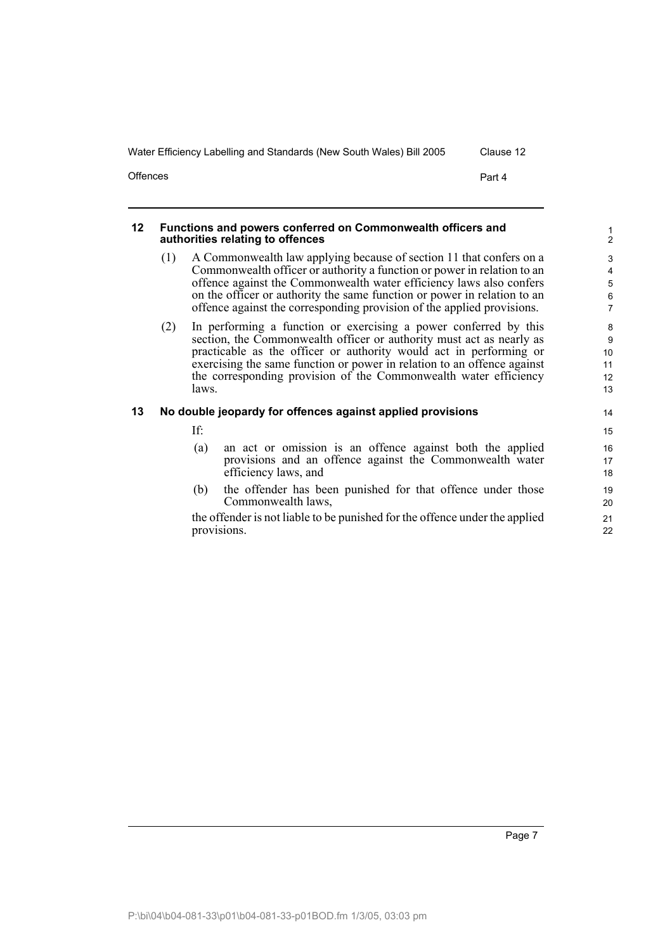Offences **Part 4** 

#### <span id="page-12-0"></span>**12 Functions and powers conferred on Commonwealth officers and authorities relating to offences**

- (1) A Commonwealth law applying because of section 11 that confers on a Commonwealth officer or authority a function or power in relation to an offence against the Commonwealth water efficiency laws also confers on the officer or authority the same function or power in relation to an offence against the corresponding provision of the applied provisions.
- (2) In performing a function or exercising a power conferred by this section, the Commonwealth officer or authority must act as nearly as practicable as the officer or authority would act in performing or exercising the same function or power in relation to an offence against the corresponding provision of the Commonwealth water efficiency laws.

### <span id="page-12-1"></span>**13 No double jeopardy for offences against applied provisions**

If:

- (a) an act or omission is an offence against both the applied provisions and an offence against the Commonwealth water efficiency laws, and
- (b) the offender has been punished for that offence under those Commonwealth laws,

the offender is not liable to be punished for the offence under the applied provisions.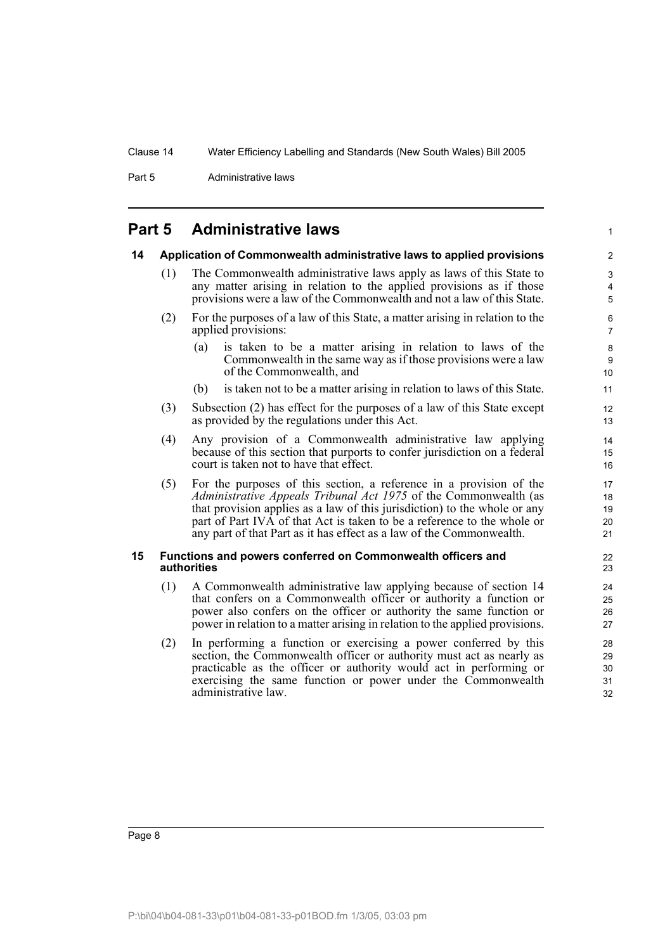Part 5 **Administrative laws** 

### <span id="page-13-0"></span>**Part 5 Administrative laws**

### <span id="page-13-1"></span>**14 Application of Commonwealth administrative laws to applied provisions**

- (1) The Commonwealth administrative laws apply as laws of this State to any matter arising in relation to the applied provisions as if those provisions were a law of the Commonwealth and not a law of this State.
- (2) For the purposes of a law of this State, a matter arising in relation to the applied provisions:
	- (a) is taken to be a matter arising in relation to laws of the Commonwealth in the same way as if those provisions were a law of the Commonwealth, and

1

- (b) is taken not to be a matter arising in relation to laws of this State.
- (3) Subsection (2) has effect for the purposes of a law of this State except as provided by the regulations under this Act.
- (4) Any provision of a Commonwealth administrative law applying because of this section that purports to confer jurisdiction on a federal court is taken not to have that effect.
- (5) For the purposes of this section, a reference in a provision of the *Administrative Appeals Tribunal Act 1975* of the Commonwealth (as that provision applies as a law of this jurisdiction) to the whole or any part of Part IVA of that Act is taken to be a reference to the whole or any part of that Part as it has effect as a law of the Commonwealth.

#### <span id="page-13-2"></span>**15 Functions and powers conferred on Commonwealth officers and authorities**

- (1) A Commonwealth administrative law applying because of section 14 that confers on a Commonwealth officer or authority a function or power also confers on the officer or authority the same function or power in relation to a matter arising in relation to the applied provisions.
- (2) In performing a function or exercising a power conferred by this section, the Commonwealth officer or authority must act as nearly as practicable as the officer or authority would act in performing or exercising the same function or power under the Commonwealth administrative law.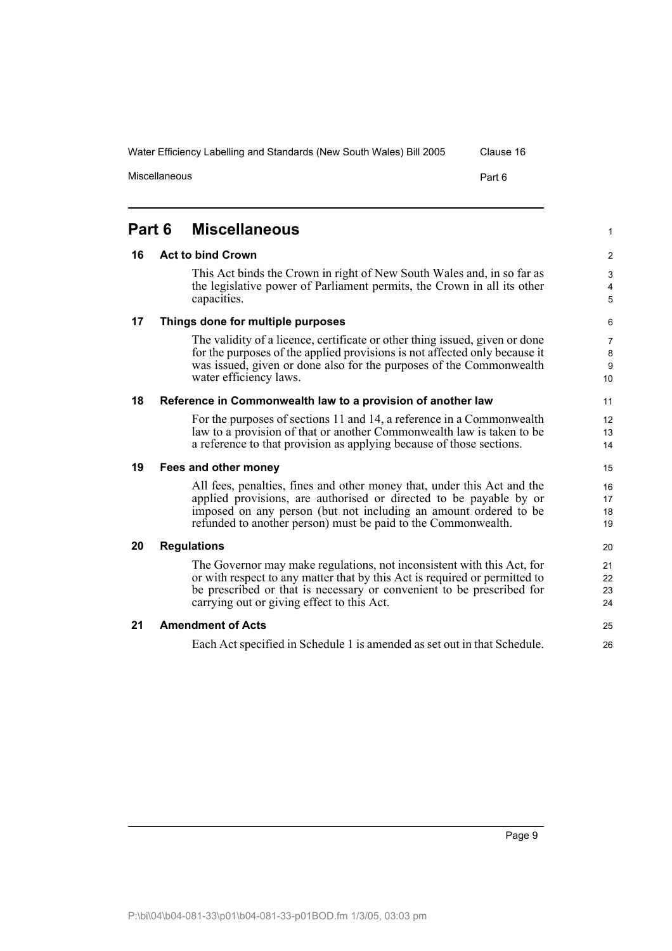<span id="page-14-6"></span><span id="page-14-5"></span><span id="page-14-4"></span><span id="page-14-3"></span><span id="page-14-2"></span><span id="page-14-1"></span><span id="page-14-0"></span>**16 Act to bind Crown** This Act binds the Crown in right of New South Wales and, in so far as the legislative power of Parliament permits, the Crown in all its other capacities. **17 Things done for multiple purposes** The validity of a licence, certificate or other thing issued, given or done for the purposes of the applied provisions is not affected only because it was issued, given or done also for the purposes of the Commonwealth water efficiency laws. **18 Reference in Commonwealth law to a provision of another law** For the purposes of sections 11 and 14, a reference in a Commonwealth law to a provision of that or another Commonwealth law is taken to be a reference to that provision as applying because of those sections. **19 Fees and other money** All fees, penalties, fines and other money that, under this Act and the applied provisions, are authorised or directed to be payable by or imposed on any person (but not including an amount ordered to be refunded to another person) must be paid to the Commonwealth. **20 Regulations** The Governor may make regulations, not inconsistent with this Act, for or with respect to any matter that by this Act is required or permitted to be prescribed or that is necessary or convenient to be prescribed for carrying out or giving effect to this Act. **21 Amendment of Acts** Each Act specified in Schedule 1 is amended as set out in that Schedule.

**Part 6 Miscellaneous**

Page 9

1

Water Efficiency Labelling and Standards (New South Wales) Bill 2005 Clause 16

Miscellaneous **Part 6**